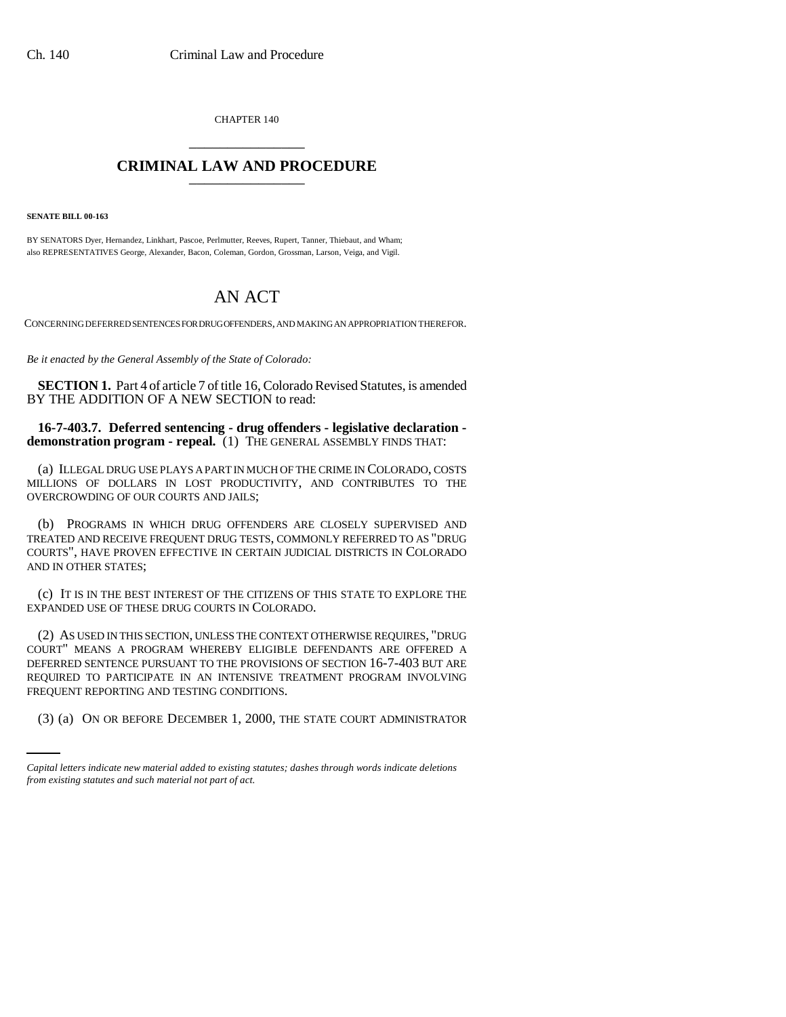CHAPTER 140 \_\_\_\_\_\_\_\_\_\_\_\_\_\_\_

## **CRIMINAL LAW AND PROCEDURE** \_\_\_\_\_\_\_\_\_\_\_\_\_\_\_

**SENATE BILL 00-163** 

BY SENATORS Dyer, Hernandez, Linkhart, Pascoe, Perlmutter, Reeves, Rupert, Tanner, Thiebaut, and Wham; also REPRESENTATIVES George, Alexander, Bacon, Coleman, Gordon, Grossman, Larson, Veiga, and Vigil.

## AN ACT

CONCERNING DEFERRED SENTENCES FOR DRUG OFFENDERS, AND MAKING AN APPROPRIATION THEREFOR.

*Be it enacted by the General Assembly of the State of Colorado:*

**SECTION 1.** Part 4 of article 7 of title 16, Colorado Revised Statutes, is amended BY THE ADDITION OF A NEW SECTION to read:

**16-7-403.7. Deferred sentencing - drug offenders - legislative declaration demonstration program - repeal.** (1) THE GENERAL ASSEMBLY FINDS THAT:

(a) ILLEGAL DRUG USE PLAYS A PART IN MUCH OF THE CRIME IN COLORADO, COSTS MILLIONS OF DOLLARS IN LOST PRODUCTIVITY, AND CONTRIBUTES TO THE OVERCROWDING OF OUR COURTS AND JAILS;

(b) PROGRAMS IN WHICH DRUG OFFENDERS ARE CLOSELY SUPERVISED AND TREATED AND RECEIVE FREQUENT DRUG TESTS, COMMONLY REFERRED TO AS "DRUG COURTS", HAVE PROVEN EFFECTIVE IN CERTAIN JUDICIAL DISTRICTS IN COLORADO AND IN OTHER STATES;

(c) IT IS IN THE BEST INTEREST OF THE CITIZENS OF THIS STATE TO EXPLORE THE EXPANDED USE OF THESE DRUG COURTS IN COLORADO.

REQUENT REPORTING AND TESTING CONDITIONS. (2) AS USED IN THIS SECTION, UNLESS THE CONTEXT OTHERWISE REQUIRES, "DRUG COURT" MEANS A PROGRAM WHEREBY ELIGIBLE DEFENDANTS ARE OFFERED A DEFERRED SENTENCE PURSUANT TO THE PROVISIONS OF SECTION 16-7-403 BUT ARE REQUIRED TO PARTICIPATE IN AN INTENSIVE TREATMENT PROGRAM INVOLVING

(3) (a) ON OR BEFORE DECEMBER 1, 2000, THE STATE COURT ADMINISTRATOR

*Capital letters indicate new material added to existing statutes; dashes through words indicate deletions from existing statutes and such material not part of act.*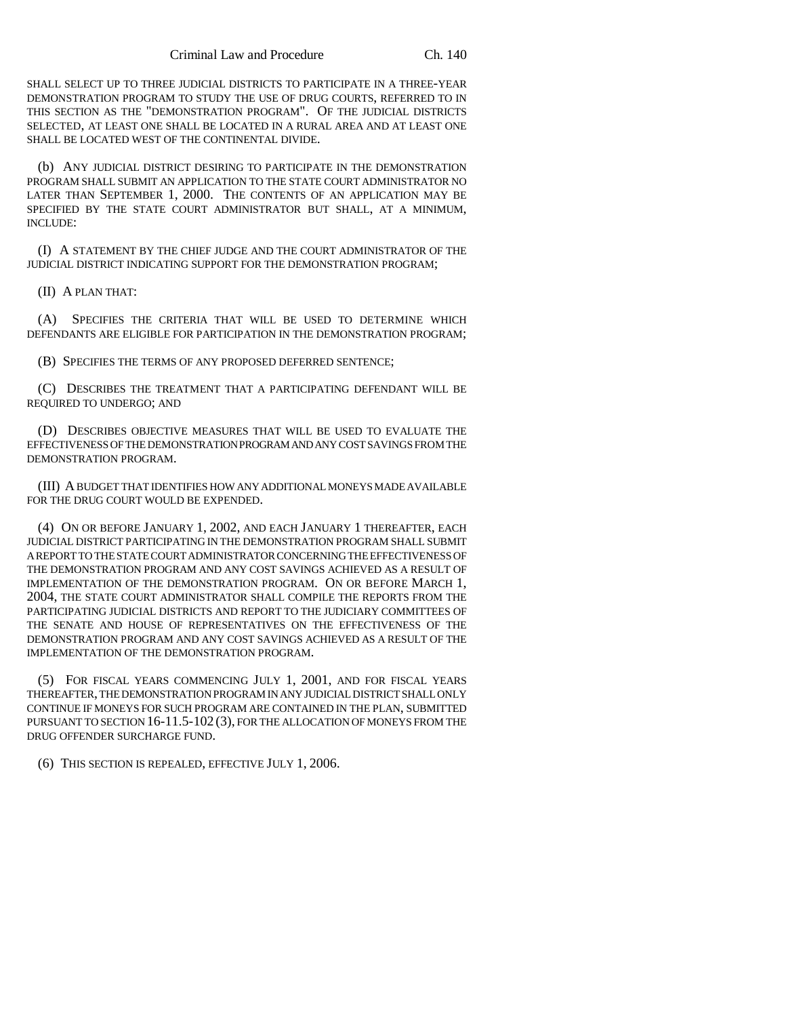SHALL SELECT UP TO THREE JUDICIAL DISTRICTS TO PARTICIPATE IN A THREE-YEAR DEMONSTRATION PROGRAM TO STUDY THE USE OF DRUG COURTS, REFERRED TO IN THIS SECTION AS THE "DEMONSTRATION PROGRAM". OF THE JUDICIAL DISTRICTS SELECTED, AT LEAST ONE SHALL BE LOCATED IN A RURAL AREA AND AT LEAST ONE SHALL BE LOCATED WEST OF THE CONTINENTAL DIVIDE.

(b) ANY JUDICIAL DISTRICT DESIRING TO PARTICIPATE IN THE DEMONSTRATION PROGRAM SHALL SUBMIT AN APPLICATION TO THE STATE COURT ADMINISTRATOR NO LATER THAN SEPTEMBER 1, 2000. THE CONTENTS OF AN APPLICATION MAY BE SPECIFIED BY THE STATE COURT ADMINISTRATOR BUT SHALL, AT A MINIMUM, INCLUDE:

(I) A STATEMENT BY THE CHIEF JUDGE AND THE COURT ADMINISTRATOR OF THE JUDICIAL DISTRICT INDICATING SUPPORT FOR THE DEMONSTRATION PROGRAM;

(II) A PLAN THAT:

(A) SPECIFIES THE CRITERIA THAT WILL BE USED TO DETERMINE WHICH DEFENDANTS ARE ELIGIBLE FOR PARTICIPATION IN THE DEMONSTRATION PROGRAM;

(B) SPECIFIES THE TERMS OF ANY PROPOSED DEFERRED SENTENCE;

(C) DESCRIBES THE TREATMENT THAT A PARTICIPATING DEFENDANT WILL BE REQUIRED TO UNDERGO; AND

(D) DESCRIBES OBJECTIVE MEASURES THAT WILL BE USED TO EVALUATE THE EFFECTIVENESS OF THE DEMONSTRATION PROGRAM AND ANY COST SAVINGS FROM THE DEMONSTRATION PROGRAM.

(III) A BUDGET THAT IDENTIFIES HOW ANY ADDITIONAL MONEYS MADE AVAILABLE FOR THE DRUG COURT WOULD BE EXPENDED.

(4) ON OR BEFORE JANUARY 1, 2002, AND EACH JANUARY 1 THEREAFTER, EACH JUDICIAL DISTRICT PARTICIPATING IN THE DEMONSTRATION PROGRAM SHALL SUBMIT A REPORT TO THE STATE COURT ADMINISTRATOR CONCERNING THE EFFECTIVENESS OF THE DEMONSTRATION PROGRAM AND ANY COST SAVINGS ACHIEVED AS A RESULT OF IMPLEMENTATION OF THE DEMONSTRATION PROGRAM. ON OR BEFORE MARCH 1, 2004, THE STATE COURT ADMINISTRATOR SHALL COMPILE THE REPORTS FROM THE PARTICIPATING JUDICIAL DISTRICTS AND REPORT TO THE JUDICIARY COMMITTEES OF THE SENATE AND HOUSE OF REPRESENTATIVES ON THE EFFECTIVENESS OF THE DEMONSTRATION PROGRAM AND ANY COST SAVINGS ACHIEVED AS A RESULT OF THE IMPLEMENTATION OF THE DEMONSTRATION PROGRAM.

(5) FOR FISCAL YEARS COMMENCING JULY 1, 2001, AND FOR FISCAL YEARS THEREAFTER, THE DEMONSTRATION PROGRAM IN ANY JUDICIAL DISTRICT SHALL ONLY CONTINUE IF MONEYS FOR SUCH PROGRAM ARE CONTAINED IN THE PLAN, SUBMITTED PURSUANT TO SECTION 16-11.5-102 (3), FOR THE ALLOCATION OF MONEYS FROM THE DRUG OFFENDER SURCHARGE FUND.

(6) THIS SECTION IS REPEALED, EFFECTIVE JULY 1, 2006.